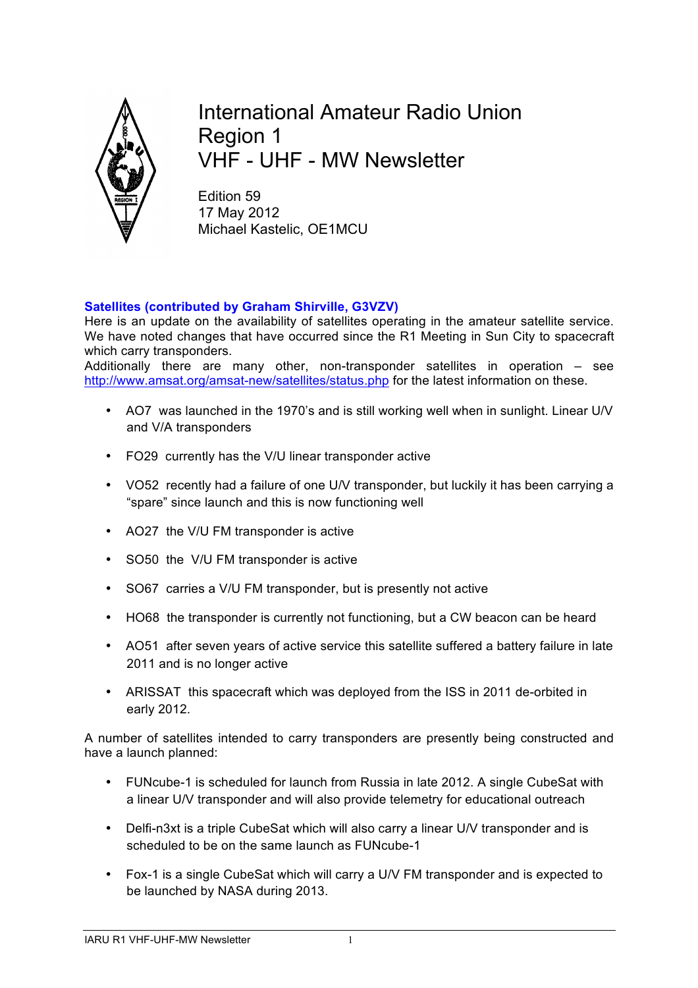

International Amateur Radio Union Region 1 VHF - UHF - MW Newsletter

Edition 59 17 May 2012 Michael Kastelic, OE1MCU

## **Satellites (contributed by Graham Shirville, G3VZV)**

Here is an update on the availability of satellites operating in the amateur satellite service. We have noted changes that have occurred since the R1 Meeting in Sun City to spacecraft which carry transponders.

Additionally there are many other, non-transponder satellites in operation – see http://www.amsat.org/amsat-new/satellites/status.php for the latest information on these.

- AO7 was launched in the 1970's and is still working well when in sunlight. Linear U/V and V/A transponders
- FO29 currently has the V/U linear transponder active
- VO52 recently had a failure of one U/V transponder, but luckily it has been carrying a "spare" since launch and this is now functioning well
- AO27 the V/U FM transponder is active
- SO50 the V/U FM transponder is active
- SO67 carries a V/U FM transponder, but is presently not active
- HO68 the transponder is currently not functioning, but a CW beacon can be heard
- AO51 after seven years of active service this satellite suffered a battery failure in late 2011 and is no longer active
- ARISSAT this spacecraft which was deployed from the ISS in 2011 de-orbited in early 2012.

A number of satellites intended to carry transponders are presently being constructed and have a launch planned:

- FUNcube-1 is scheduled for launch from Russia in late 2012. A single CubeSat with a linear U/V transponder and will also provide telemetry for educational outreach
- Delfi-n3xt is a triple CubeSat which will also carry a linear U/V transponder and is scheduled to be on the same launch as FUNcube-1
- Fox-1 is a single CubeSat which will carry a U/V FM transponder and is expected to be launched by NASA during 2013.